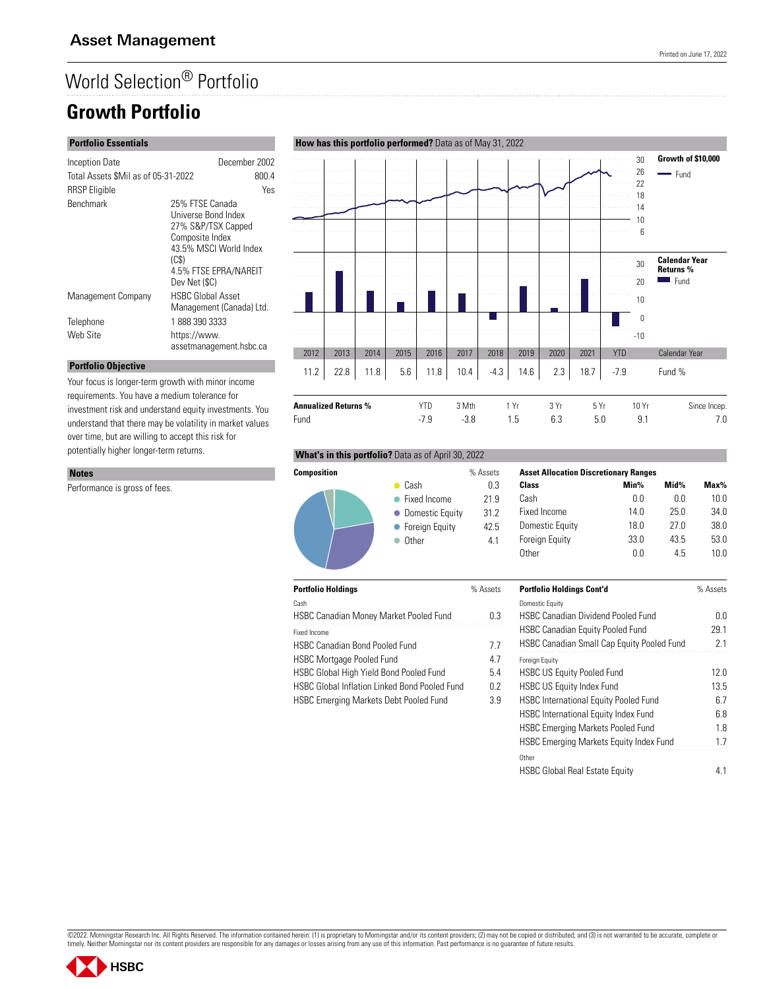# World Selection® Portfolio

## **Growth Portfolio**

#### **Portfolio Essentials**

**Portfolio Objective**

Performance is gross of fees.

**Notes**

| Inception Date                      |                          | December 2002            |  |
|-------------------------------------|--------------------------|--------------------------|--|
| Total Assets \$Mil as of 05-31-2022 |                          | 800.4                    |  |
| <b>RRSP</b> Eligible                |                          | Yes                      |  |
| <b>Benchmark</b>                    | 25% FTSE Canada          |                          |  |
|                                     | Universe Bond Index      |                          |  |
|                                     | 27% S&P/TSX Capped       |                          |  |
|                                     | Composite Index          |                          |  |
|                                     | 43.5% MSCI World Index   |                          |  |
|                                     | (C <sub>S</sub> )        |                          |  |
|                                     |                          | 4.5% FTSE EPRA/NAREIT    |  |
|                                     | Dev Net (\$C)            |                          |  |
| Management Company                  | <b>HSBC Global Asset</b> |                          |  |
|                                     |                          | Management (Canada) Ltd. |  |
| Telephone                           | 18883903333              |                          |  |
| Web Site                            | https://www.             |                          |  |
|                                     |                          | assetmanagement.hsbc.ca  |  |

Your focus is longer-term growth with minor income requirements. You have a medium tolerance for investment risk and understand equity investments. You understand that there may be volatility in market values over time, but are willing to accept this risk for potentially higher longer-term returns.

#### 30 **Growth of \$10,000**  $\ldots$ a sa sa . . . . . . .<br>. . . . . 26 - Fund . . . . . . . . . . . . . 22 18 14 10 . . . . . . . . . . . . . . . . . . . . . . . . . . . a sa sa . . . . . . 6 .<del>.........</del> . . . . . . . . . . . . . . . . . . 30 **Calendar Year Returns %** . . . . . . . .  $F$ und 20 10 0 -10 2012 2013 2014 2015 2016 2017 2018 2019 2020 2021 YTD Calendar Year 11.2 | 22.8 | 11.8 | 5.6 | 11.8 | 10.4 | -4.3 | 14.6 | 2.3 | 18.7 | -7.9 Fund % **Annualized Returns %** YTD 3 Mth 1 Yr 3 Yr 5 Yr 10 Yr Since Incep.

Fund -7.9 -3.8 1.5 6.3 5.0 9.1 7.0

## **What's in this portfolio?** Data as of April 30, 2022



| <b>Asset Allocation Discretionary Ranges</b> |      |      |         |
|----------------------------------------------|------|------|---------|
| Class                                        | Min% | Mid% | $Max\%$ |
| Cash                                         | 0.0  | 0.0  | 10.0    |
| Fixed Income                                 | 14 በ | 250  | 34.0    |
| Domestic Equity                              | 18 N | 27 N | 38.0    |
| <b>Foreign Equity</b>                        | 33.0 | 43.5 | 53.0    |
| ()ther                                       | N U  | 45   | 1 N N   |

| <b>Portfolio Holdings</b>                            | % Assets | <b>Portfolio Holdings Cont'd</b>                  | % Assets |
|------------------------------------------------------|----------|---------------------------------------------------|----------|
| Cash                                                 |          | Domestic Equity                                   |          |
| <b>HSBC Canadian Money Market Pooled Fund</b>        | 0.3      | <b>HSBC Canadian Dividend Pooled Fund</b>         | 0.0      |
| Fixed Income                                         |          | <b>HSBC Canadian Equity Pooled Fund</b>           | 29.1     |
| <b>HSBC Canadian Bond Pooled Fund</b>                | 7.7      | <b>HSBC Canadian Small Cap Equity Pooled Fund</b> | 2.1      |
| <b>HSBC Mortgage Pooled Fund</b>                     | 4.7      | <b>Foreign Equity</b>                             |          |
| HSBC Global High Yield Bond Pooled Fund              | 5.4      | <b>HSBC US Equity Pooled Fund</b>                 | 12.0     |
| <b>HSBC Global Inflation Linked Bond Pooled Fund</b> | 0.2      | <b>HSBC US Equity Index Fund</b>                  | 13.5     |
| <b>HSBC Emerging Markets Debt Pooled Fund</b>        | 3.9      | <b>HSBC International Equity Pooled Fund</b>      | 6.7      |
|                                                      |          | <b>HSBC International Equity Index Fund</b>       | 6.8      |
|                                                      |          | <b>HSBC Emerging Markets Pooled Fund</b>          | 1.8      |
|                                                      |          | HSBC Emerging Markets Equity Index Fund           | 1.7      |
|                                                      |          | Other                                             |          |
|                                                      |          | <b>HSBC Global Real Estate Equity</b>             | 4.1      |

## ©2022. Morningstar Research Inc. All Rights Reserved. The information contained herein: (1) is proprietary to Morningstar and/or its content providers; (2) may not be copied or distributed; and (3) is not warranted to be a



#### **How has this portfolio performed?** Data as of May 31, 2022